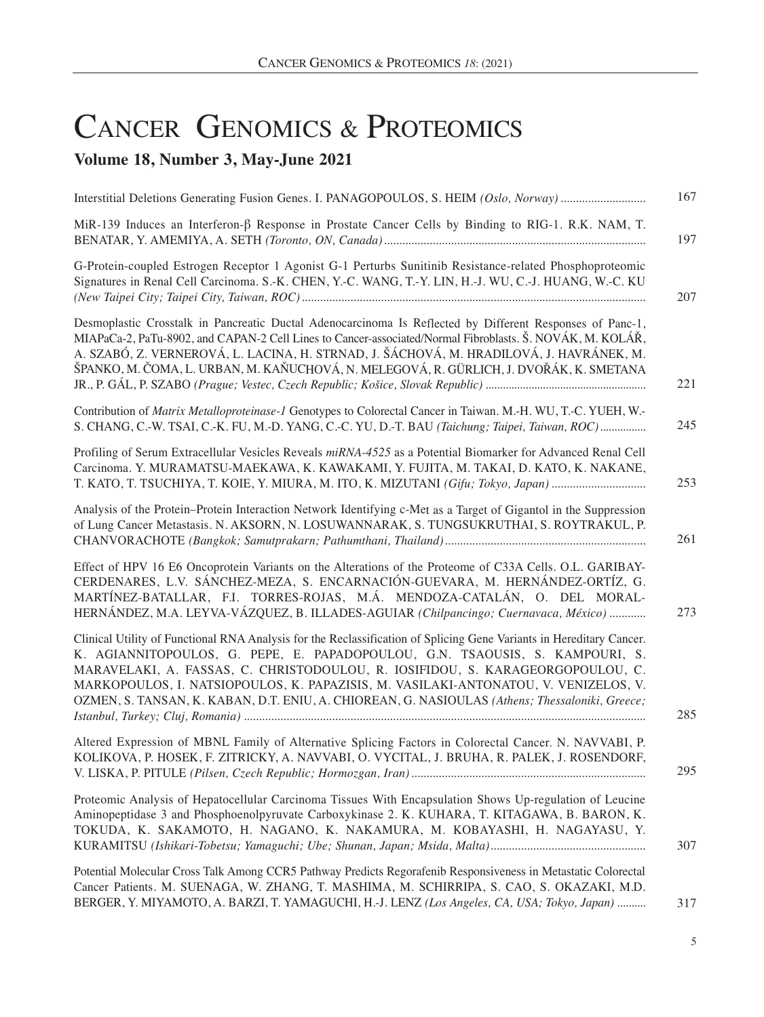## CANCER GENOMICS & PROTEOMICS

## **Volume 18, Number 3, May-June 2021**

| 167 |
|-----|
| 197 |
| 207 |
| 221 |
| 245 |
| 253 |
| 261 |
| 273 |
| 285 |
| 295 |
| 307 |
| 317 |
|     |